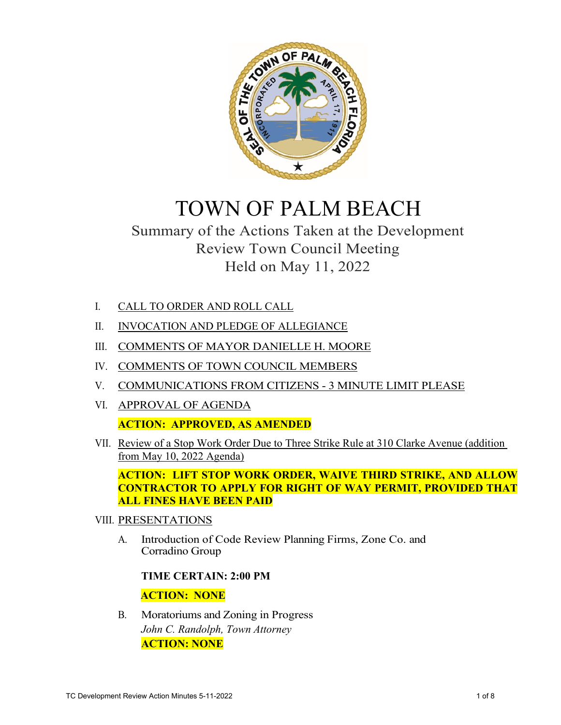

# TOWN OF PALM BEACH

# Summary of the Actions Taken at the Development Review Town Council Meeting Held on May 11, 2022

- I. CALL TO ORDER AND ROLL CALL
- II. INVOCATION AND PLEDGE OF ALLEGIANCE
- III. COMMENTS OF MAYOR DANIELLE H. MOORE
- IV. COMMENTS OF TOWN COUNCIL MEMBERS
- V. COMMUNICATIONS FROM CITIZENS 3 MINUTE LIMIT PLEASE
- VI. APPROVAL OF AGENDA **ACTION: APPROVED, AS AMENDED**
- VII. Review of a Stop Work Order Due to Three Strike Rule at 310 Clarke Avenue (addition from May 10, 2022 Agenda)

**ACTION: LIFT STOP WORK ORDER, WAIVE THIRD STRIKE, AND ALLOW CONTRACTOR TO APPLY FOR RIGHT OF WAY PERMIT, PROVIDED THAT ALL FINES HAVE BEEN PAID**

- VIII. PRESENTATIONS
	- A. Introduction of Code Review Planning Firms, Zone Co. and Corradino Group

#### **TIME CERTAIN: 2:00 PM**

### **ACTION: NONE**

B. Moratoriums and Zoning in Progress *John C. Randolph, Town Attorney* **ACTION: NONE**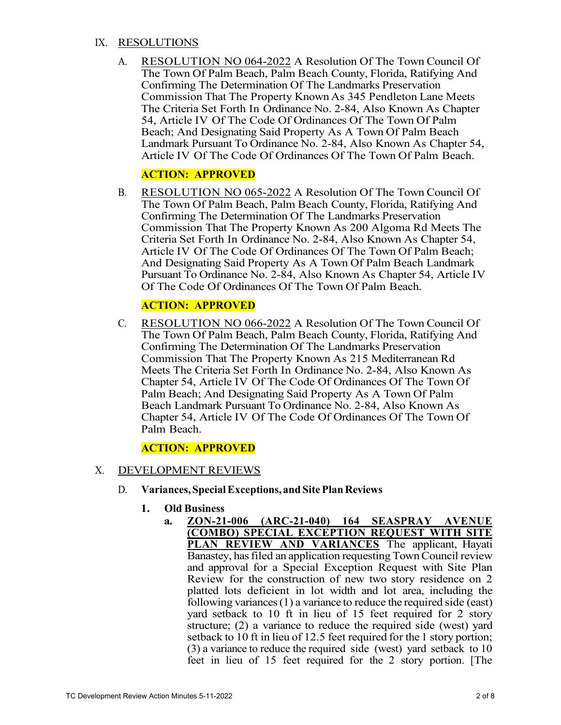#### IX. RESOLUTIONS

A. RESOLUTION NO 064-2022 A Resolution Of The Town Council Of The Town Of Palm Beach, Palm Beach County, Florida, Ratifying And Confirming The Determination Of The Landmarks Preservation Commission That The Property Known As 345 Pendleton Lane Meets The Criteria Set Forth In Ordinance No. 2-84, Also Known As Chapter 54, Article IV Of The Code Of Ordinances Of The Town Of Palm Beach; And Designating Said Property As A Town Of Palm Beach Landmark Pursuant To Ordinance No. 2-84, Also Known As Chapter 54, Article IV Of The Code Of Ordinances Of The Town Of Palm Beach.

# **ACTION: APPROVED**

B. RESOLUTION NO 065-2022 A Resolution Of The Town Council Of The Town Of Palm Beach, Palm Beach County, Florida, Ratifying And Confirming The Determination Of The Landmarks Preservation Commission That The Property Known As 200 Algoma Rd Meets The Criteria Set Forth In Ordinance No. 2-84, Also Known As Chapter 54, Article IV Of The Code Of Ordinances Of The Town Of Palm Beach; And Designating Said Property As A Town Of Palm Beach Landmark Pursuant To Ordinance No. 2-84, Also Known As Chapter 54, Article IV Of The Code Of Ordinances Of The Town Of Palm Beach.

# **ACTION: APPROVED**

C. RESOLUTION NO 066-2022 A Resolution Of The Town Council Of The Town Of Palm Beach, Palm Beach County, Florida, Ratifying And Confirming The Determination Of The Landmarks Preservation Commission That The Property Known As 215 Mediterranean Rd Meets The Criteria Set Forth In Ordinance No. 2-84, Also Known As Chapter 54, Article IV Of The Code Of Ordinances Of The Town Of Palm Beach; And Designating Said Property As A Town Of Palm Beach Landmark Pursuant To Ordinance No. 2-84, Also Known As Chapter 54, Article IV Of The Code Of Ordinances Of The Town Of Palm Beach.

#### **ACTION: APPROVED**

- X. DEVELOPMENT REVIEWS
	- D. **Variances,Special Exceptions, and Site Plan Reviews**
		- **1. Old Business**
			- **a. ZON-21-006 (ARC-21-040) 164 SEASPRAY AVENUE (COMBO) SPECIAL EXCEPTION REQUEST WITH SITE PLAN REVIEW AND VARIANCES** The applicant, Hayati Banastey, has filed an application requesting Town Council review and approval for a Special Exception Request with Site Plan Review for the construction of new two story residence on 2 platted lots deficient in lot width and lot area, including the following variances (1) a variance to reduce the required side (east) yard setback to 10 ft in lieu of 15 feet required for 2 story structure; (2) a variance to reduce the required side (west) yard setback to 10 ft in lieu of 12.5 feet required for the 1 story portion; (3) a variance to reduce the required side (west) yard setback to 10 feet in lieu of 15 feet required for the 2 story portion. [The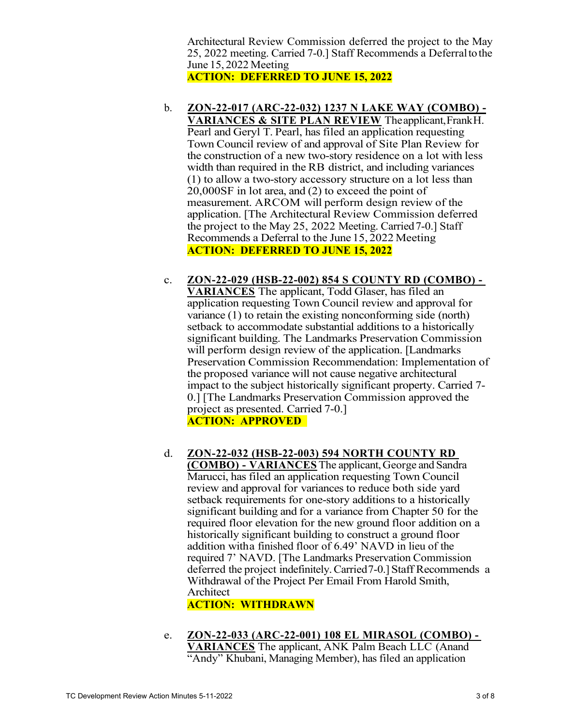Architectural Review Commission deferred the project to the May 25, 2022 meeting. Carried 7-0.] Staff Recommends a Deferraltothe June 15, 2022 Meeting

**ACTION: DEFERRED TO JUNE 15, 2022** 

- b. **ZON-22-017 (ARC-22-032) 1237 N LAKE WAY (COMBO) VARIANCES & SITE PLAN REVIEW** Theapplicant,FrankH. Pearl and Geryl T. Pearl, has filed an application requesting Town Council review of and approval of Site Plan Review for the construction of a new two-story residence on a lot with less width than required in the RB district, and including variances (1) to allow a two-story accessory structure on a lot less than 20,000SF in lot area, and (2) to exceed the point of measurement. ARCOM will perform design review of the application. [The Architectural Review Commission deferred the project to the May 25, 2022 Meeting. Carried 7-0.] Staff Recommends a Deferral to the June 15, 2022 Meeting **ACTION: DEFERRED TO JUNE 15, 2022**
- c. **ZON-22-029 (HSB-22-002) 854 S COUNTY RD (COMBO) VARIANCES** The applicant, Todd Glaser, has filed an application requesting Town Council review and approval for variance (1) to retain the existing nonconforming side (north) setback to accommodate substantial additions to a historically significant building. The Landmarks Preservation Commission will perform design review of the application. [Landmarks] Preservation Commission Recommendation: Implementation of the proposed variance will not cause negative architectural impact to the subject historically significant property. Carried 7- 0.] [The Landmarks Preservation Commission approved the project as presented. Carried 7-0.] **ACTION: APPROVED**
- d. **ZON-22-032 (HSB-22-003) 594 NORTH COUNTY RD (COMBO) - VARIANCES** The applicant,George and Sandra Marucci, has filed an application requesting Town Council review and approval for variances to reduce both side yard setback requirements for one-story additions to a historically significant building and for a variance from Chapter 50 for the required floor elevation for the new ground floor addition on a historically significant building to construct a ground floor addition with a finished floor of 6.49' NAVD in lieu of the required 7' NAVD. [The Landmarks Preservation Commission deferred the project indefinitely.Carried 7-0.] Staff Recommends a Withdrawal of the Project Per Email From Harold Smith, Architect

**ACTION: WITHDRAWN**

- e. **ZON-22-033 (ARC-22-001) 108 EL MIRASOL (COMBO)** 
	- **VARIANCES** The applicant, ANK Palm Beach LLC (Anand "Andy" Khubani, Managing Member), has filed an application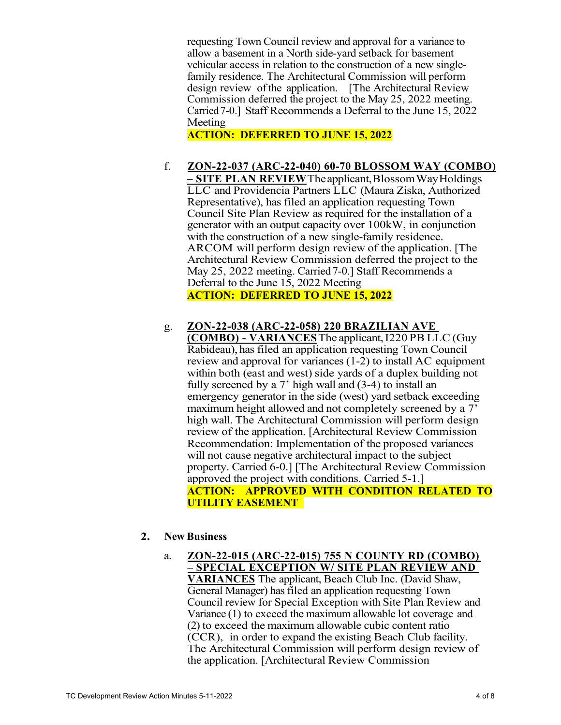requesting Town Council review and approval for a variance to allow a basement in a North side-yard setback for basement vehicular access in relation to the construction of a new singlefamily residence. The Architectural Commission will perform design review of the application. [The Architectural Review] Commission deferred the project to the May 25, 2022 meeting. Carried 7-0.] Staff Recommends a Deferral to the June 15, 2022 Meeting

**ACTION: DEFERRED TO JUNE 15, 2022**

- f. **ZON-22-037 (ARC-22-040) 60-70 BLOSSOM WAY (COMBO) – SITE PLAN REVIEW** Theapplicant,BlossomWayHoldings LLC and Providencia Partners LLC (Maura Ziska, Authorized Representative), has filed an application requesting Town Council Site Plan Review as required for the installation of a generator with an output capacity over 100kW, in conjunction with the construction of a new single-family residence. ARCOM will perform design review of the application. [The Architectural Review Commission deferred the project to the May 25, 2022 meeting. Carried 7-0.] Staff Recommends a Deferral to the June 15, 2022 Meeting **ACTION: DEFERRED TO JUNE 15, 2022**
- g. **ZON-22-038 (ARC-22-058) 220 BRAZILIAN AVE (COMBO) - VARIANCES** The applicant, I220 PB LLC (Guy) Rabideau),has filed an application requesting Town Council review and approval for variances (1-2) to install AC equipment within both (east and west) side yards of a duplex building not fully screened by a 7' high wall and (3-4) to install an emergency generator in the side (west) yard setback exceeding maximum height allowed and not completely screened by a  $7<sup>7</sup>$ high wall. The Architectural Commission will perform design review of the application. [Architectural Review Commission Recommendation: Implementation of the proposed variances will not cause negative architectural impact to the subject property. Carried 6-0.] [The Architectural Review Commission approved the project with conditions. Carried 5-1.] **ACTION: APPROVED WITH CONDITION RELATED TO UTILITY EASEMENT**

#### **2. New Business**

a. **ZON-22-015 (ARC-22-015) 755 N COUNTY RD (COMBO) – SPECIAL EXCEPTION W/ SITE PLAN REVIEW AND VARIANCES** The applicant, Beach Club Inc. (David Shaw, General Manager) has filed an application requesting Town Council review for Special Exception with Site Plan Review and Variance (1) to exceed the maximum allowable lot coverage and (2) to exceed the maximum allowable cubic content ratio (CCR), in order to expand the existing Beach Club facility. The Architectural Commission will perform design review of the application. [Architectural Review Commission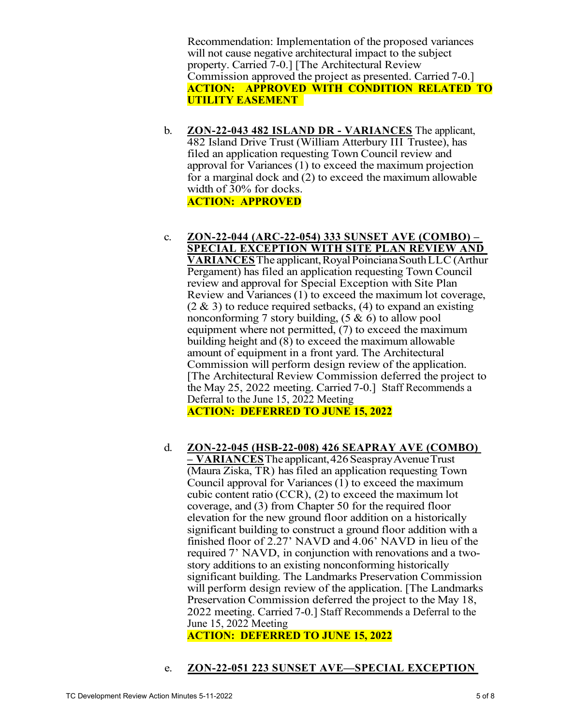Recommendation: Implementation of the proposed variances will not cause negative architectural impact to the subject property. Carried 7-0.] [The Architectural Review Commission approved the project as presented. Carried 7-0.] **ACTION: APPROVED WITH CONDITION RELATED TO UTILITY EASEMENT** 

- b. **ZON-22-043 482 ISLAND DR VARIANCES** The applicant, 482 Island Drive Trust (William Atterbury III Trustee), has filed an application requesting Town Council review and approval for Variances (1) to exceed the maximum projection for a marginal dock and (2) to exceed the maximum allowable width of 30% for docks. **ACTION: APPROVED**
- c. **ZON-22-044 (ARC-22-054) 333 SUNSET AVE (COMBO) SPECIAL EXCEPTION WITH SITE PLAN REVIEW AND VARIANCES**The applicant,RoyalPoincianaSouthLLC (Arthur Pergament) has filed an application requesting Town Council review and approval for Special Exception with Site Plan Review and Variances (1) to exceed the maximum lot coverage,  $(2 \& 3)$  to reduce required setbacks,  $(4)$  to expand an existing nonconforming 7 story building,  $(5 \& 6)$  to allow pool equipment where not permitted, (7) to exceed the maximum building height and (8) to exceed the maximum allowable amount of equipment in a front yard. The Architectural Commission will perform design review of the application. [The Architectural Review Commission deferred the project to the May 25, 2022 meeting. Carried 7-0.] Staff Recommends a Deferral to the June 15, 2022 Meeting **ACTION: DEFERRED TO JUNE 15, 2022**
- d. **ZON-22-045 (HSB-22-008) 426 SEAPRAY AVE (COMBO) – VARIANCES**Theapplicant, 426 SeasprayAvenueTrust (Maura Ziska, TR) has filed an application requesting Town Council approval for Variances (1) to exceed the maximum cubic content ratio (CCR), (2) to exceed the maximum lot coverage, and (3) from Chapter 50 for the required floor elevation for the new ground floor addition on a historically significant building to construct a ground floor addition with a finished floor of 2.27' NAVD and 4.06' NAVD in lieu of the required 7' NAVD, in conjunction with renovations and a twostory additions to an existing nonconforming historically significant building. The Landmarks Preservation Commission will perform design review of the application. [The Landmarks] Preservation Commission deferred the project to the May 18, 2022 meeting. Carried 7-0.] Staff Recommends a Deferral to the June 15, 2022 Meeting

**ACTION: DEFERRED TO JUNE 15, 2022**

# e. **ZON-22-051 223 SUNSET AVE—SPECIAL EXCEPTION**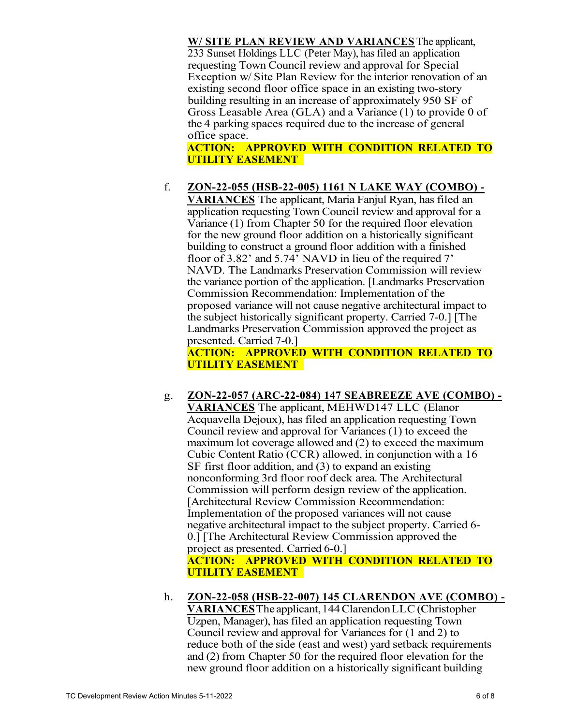**W/ SITE PLAN REVIEW AND VARIANCES** The applicant, 233 Sunset Holdings LLC (Peter May), has filed an application requesting Town Council review and approval for Special Exception w/ Site Plan Review for the interior renovation of an existing second floor office space in an existing two-story building resulting in an increase of approximately 950 SF of Gross Leasable Area (GLA) and a Variance (1) to provide 0 of the 4 parking spaces required due to the increase of general office space.

# **ACTION: APPROVED WITH CONDITION RELATED TO UTILITY EASEMENT**

# f. **ZON-22-055 (HSB-22-005) 1161 N LAKE WAY (COMBO) -**

**VARIANCES** The applicant, Maria Fanjul Ryan, has filed an application requesting Town Council review and approval for a Variance (1) from Chapter 50 for the required floor elevation for the new ground floor addition on a historically significant building to construct a ground floor addition with a finished floor of 3.82' and 5.74' NAVD in lieu of the required 7' NAVD. The Landmarks Preservation Commission will review the variance portion of the application. [Landmarks Preservation Commission Recommendation: Implementation of the proposed variance will not cause negative architectural impact to the subject historically significant property. Carried 7-0.] [The Landmarks Preservation Commission approved the project as presented. Carried 7-0.]

**ACTION: APPROVED WITH CONDITION RELATED TO UTILITY EASEMENT** 

# g. **ZON-22-057 (ARC-22-084) 147 SEABREEZE AVE (COMBO) -**

**VARIANCES** The applicant, MEHWD147 LLC (Elanor Acquavella Dejoux), has filed an application requesting Town Council review and approval for Variances (1) to exceed the maximum lot coverage allowed and (2) to exceed the maximum Cubic Content Ratio (CCR) allowed, in conjunction with a 16 SF first floor addition, and (3) to expand an existing nonconforming 3rd floor roof deck area. The Architectural Commission will perform design review of the application. [Architectural Review Commission Recommendation: Implementation of the proposed variances will not cause negative architectural impact to the subject property. Carried 6- 0.] [The Architectural Review Commission approved the project as presented. Carried 6-0.] **ACTION: APPROVED WITH CONDITION RELATED TO UTILITY EASEMENT** 

h. **ZON-22-058 (HSB-22-007) 145 CLARENDON AVE (COMBO) - VARIANCES**The applicant, 144 ClarendonLLC(Christopher Uzpen, Manager), has filed an application requesting Town Council review and approval for Variances for (1 and 2) to reduce both of the side (east and west) yard setback requirements and (2) from Chapter 50 for the required floor elevation for the new ground floor addition on a historically significant building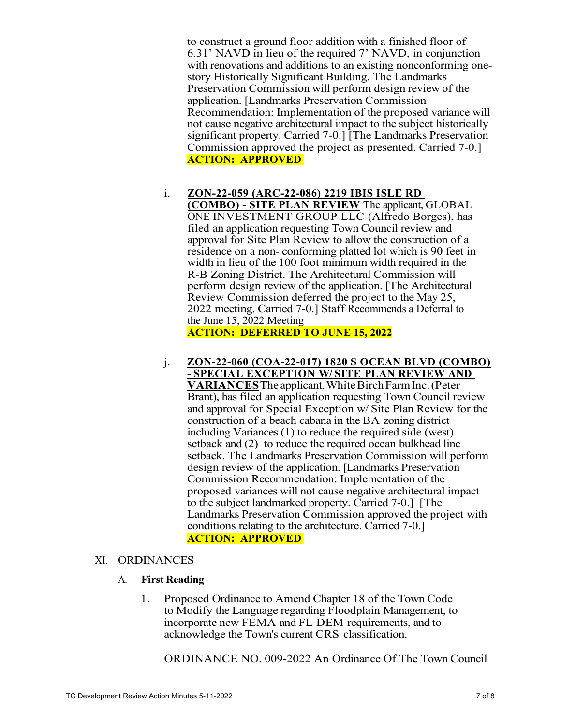to construct a ground floor addition with a finished floor of 6.31' NAVD in lieu of the required 7' NAVD, in conjunction with renovations and additions to an existing nonconforming onestory Historically Significant Building. The Landmarks Preservation Commission will perform design review of the application. [Landmarks Preservation Commission Recommendation: Implementation of the proposed variance will not cause negative architectural impact to the subject historically significant property. Carried 7-0.] [The Landmarks Preservation Commission approved the project as presented. Carried 7-0.] **ACTION: APPROVED** 

i. **ZON-22-059 (ARC-22-086) 2219 IBIS ISLE RD (COMBO) - SITE PLAN REVIEW** The applicant, GLOBAL ONE INVESTMENT GROUP LLC (Alfredo Borges), has filed an application requesting Town Council review and

approval for Site Plan Review to allow the construction of a residence on a non- conforming platted lot which is 90 feet in width in lieu of the 100 foot minimum width required in the R-B Zoning District. The Architectural Commission will perform design review of the application. [The Architectural Review Commission deferred the project to the May 25, 2022 meeting. Carried 7-0.] Staff Recommends a Deferral to the June 15, 2022 Meeting

**ACTION: DEFERRED TO JUNE 15, 2022** 

j. **ZON-22-060 (COA-22-017) 1820 S OCEAN BLVD (COMBO) - SPECIAL EXCEPTION W/ SITE PLAN REVIEW AND**  VARIANCES The applicant, White Birch Farm Inc. (Peter Brant), has filed an application requesting Town Council review and approval for Special Exception w/ Site Plan Review for the construction of a beach cabana in the BA zoning district including Variances (1) to reduce the required side (west) setback and (2) to reduce the required ocean bulkhead line setback. The Landmarks Preservation Commission will perform design review of the application. [Landmarks Preservation Commission Recommendation: Implementation of the proposed variances will not cause negative architectural impact to the subject landmarked property. Carried 7-0.] [The Landmarks Preservation Commission approved the project with conditions relating to the architecture. Carried 7-0.] **ACTION: APPROVED** 

#### XI. ORDINANCES

#### A. **First Reading**

1. Proposed Ordinance to Amend Chapter 18 of the Town Code to Modify the Language regarding Floodplain Management, to incorporate new FEMA and FL DEM requirements, and to acknowledge the Town's current CRS classification.

ORDINANCE NO. 009-2022 An Ordinance Of The Town Council